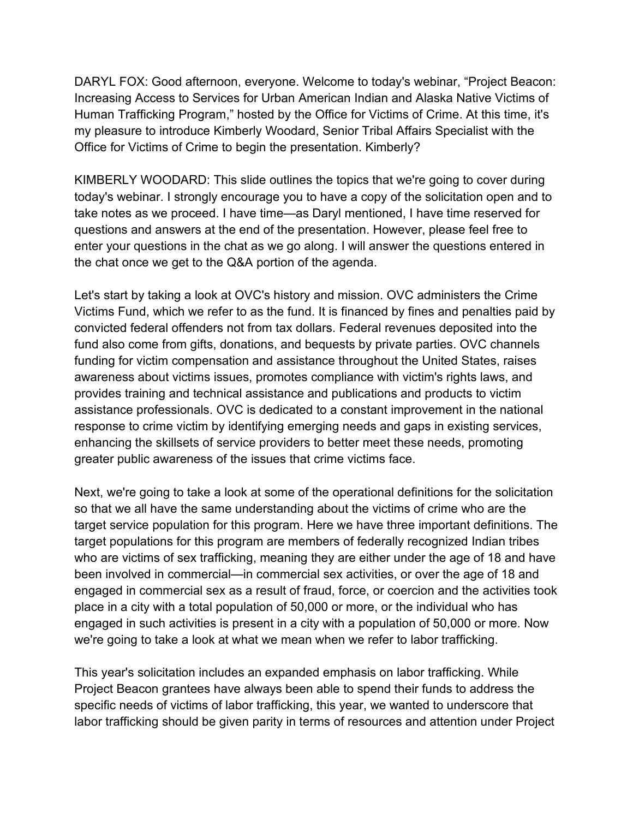Increasing Access to Services for Urban American Indian and Alaska Native Victims of Human Trafficking Program," hosted by the Office for Victims of Crime. At this time, it's Office for Victims of Crime to begin the presentation. Kimberly? DARYL FOX: Good afternoon, everyone. Welcome to today's webinar, "Project Beacon: my pleasure to introduce Kimberly Woodard, Senior Tribal Affairs Specialist with the

the chat once we get to the Q&A portion of the agenda. KIMBERLY WOODARD: This slide outlines the topics that we're going to cover during today's webinar. I strongly encourage you to have a copy of the solicitation open and to take notes as we proceed. I have time—as Daryl mentioned, I have time reserved for questions and answers at the end of the presentation. However, please feel free to enter your questions in the chat as we go along. I will answer the questions entered in

the chat once we get to the Q&A portion of the agenda.<br>Let's start by taking a look at OVC's history and mission. OVC administers the Crime greater public awareness of the issues that crime victims face. Victims Fund, which we refer to as the fund. It is financed by fines and penalties paid by convicted federal offenders not from tax dollars. Federal revenues deposited into the fund also come from gifts, donations, and bequests by private parties. OVC channels funding for victim compensation and assistance throughout the United States, raises awareness about victims issues, promotes compliance with victim's rights laws, and provides training and technical assistance and publications and products to victim assistance professionals. OVC is dedicated to a constant improvement in the national response to crime victim by identifying emerging needs and gaps in existing services, enhancing the skillsets of service providers to better meet these needs, promoting

 engaged in commercial sex as a result of fraud, force, or coercion and the activities took place in a city with a total population of 50,000 or more, or the individual who has engaged in such activities is present in a city with a population of 50,000 or more. Now we're going to take a look at what we mean when we refer to labor trafficking. Next, we're going to take a look at some of the operational definitions for the solicitation so that we all have the same understanding about the victims of crime who are the target service population for this program. Here we have three important definitions. The target populations for this program are members of federally recognized Indian tribes who are victims of sex trafficking, meaning they are either under the age of 18 and have been involved in commercial—in commercial sex activities, or over the age of 18 and

 Project Beacon grantees have always been able to spend their funds to address the labor trafficking should be given parity in terms of resources and attention under Project This year's solicitation includes an expanded emphasis on labor trafficking. While specific needs of victims of labor trafficking, this year, we wanted to underscore that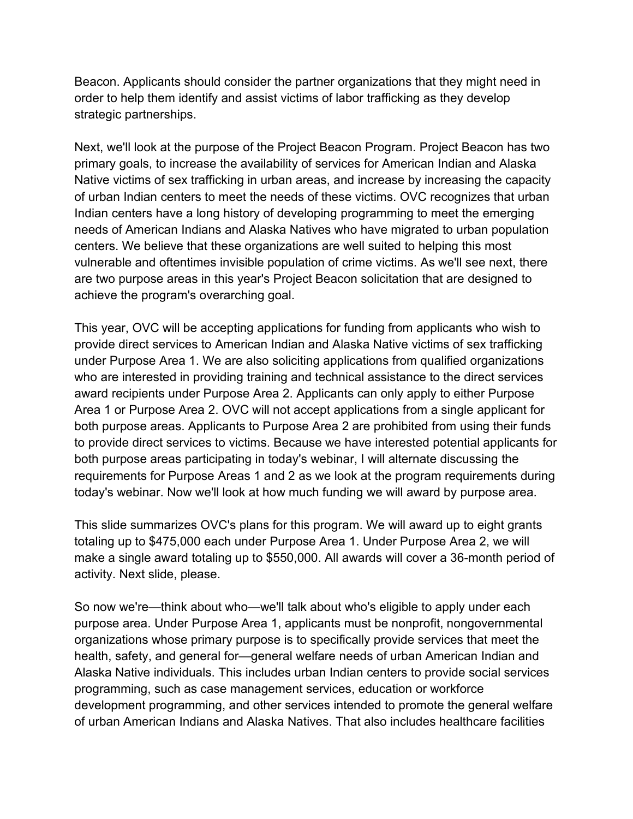strategic partnerships. Beacon. Applicants should consider the partner organizations that they might need in order to help them identify and assist victims of labor trafficking as they develop

achieve the program's overarching goal. Next, we'll look at the purpose of the Project Beacon Program. Project Beacon has two primary goals, to increase the availability of services for American Indian and Alaska Native victims of sex trafficking in urban areas, and increase by increasing the capacity of urban Indian centers to meet the needs of these victims. OVC recognizes that urban Indian centers have a long history of developing programming to meet the emerging needs of American Indians and Alaska Natives who have migrated to urban population centers. We believe that these organizations are well suited to helping this most vulnerable and oftentimes invisible population of crime victims. As we'll see next, there are two purpose areas in this year's Project Beacon solicitation that are designed to

 requirements for Purpose Areas 1 and 2 as we look at the program requirements during today's webinar. Now we'll look at how much funding we will award by purpose area. This year, OVC will be accepting applications for funding from applicants who wish to provide direct services to American Indian and Alaska Native victims of sex trafficking under Purpose Area 1. We are also soliciting applications from qualified organizations who are interested in providing training and technical assistance to the direct services award recipients under Purpose Area 2. Applicants can only apply to either Purpose Area 1 or Purpose Area 2. OVC will not accept applications from a single applicant for both purpose areas. Applicants to Purpose Area 2 are prohibited from using their funds to provide direct services to victims. Because we have interested potential applicants for both purpose areas participating in today's webinar, I will alternate discussing the

activity. Next slide, please. This slide summarizes OVC's plans for this program. We will award up to eight grants totaling up to \$475,000 each under Purpose Area 1. Under Purpose Area 2, we will make a single award totaling up to \$550,000. All awards will cover a 36-month period of

 Alaska Native individuals. This includes urban Indian centers to provide social services programming, such as case management services, education or workforce So now we're—think about who—we'll talk about who's eligible to apply under each purpose area. Under Purpose Area 1, applicants must be nonprofit, nongovernmental organizations whose primary purpose is to specifically provide services that meet the health, safety, and general for—general welfare needs of urban American Indian and development programming, and other services intended to promote the general welfare of urban American Indians and Alaska Natives. That also includes healthcare facilities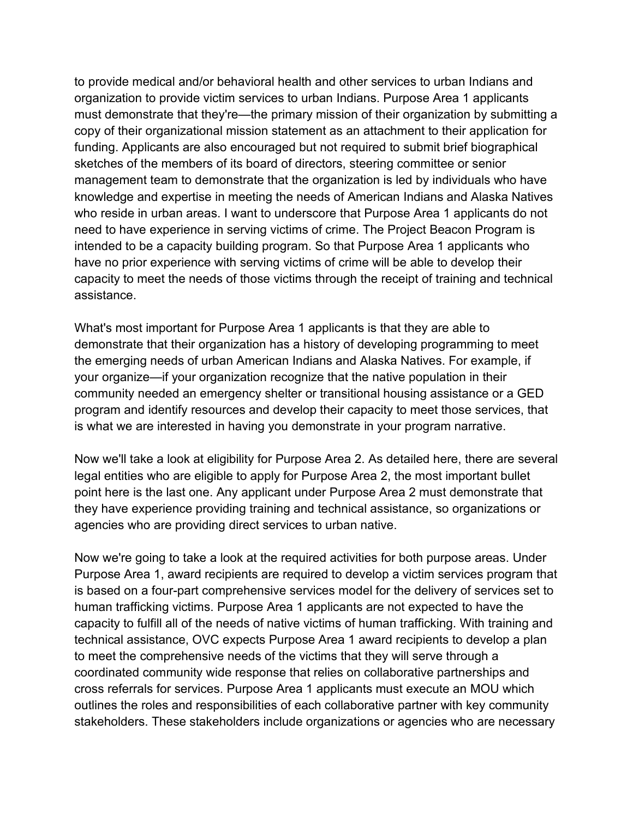management team to demonstrate that the organization is led by individuals who have assistance. to provide medical and/or behavioral health and other services to urban Indians and organization to provide victim services to urban Indians. Purpose Area 1 applicants must demonstrate that they're—the primary mission of their organization by submitting a copy of their organizational mission statement as an attachment to their application for funding. Applicants are also encouraged but not required to submit brief biographical sketches of the members of its board of directors, steering committee or senior knowledge and expertise in meeting the needs of American Indians and Alaska Natives who reside in urban areas. I want to underscore that Purpose Area 1 applicants do not need to have experience in serving victims of crime. The Project Beacon Program is intended to be a capacity building program. So that Purpose Area 1 applicants who have no prior experience with serving victims of crime will be able to develop their capacity to meet the needs of those victims through the receipt of training and technical

 demonstrate that their organization has a history of developing programming to meet community needed an emergency shelter or transitional housing assistance or a GED program and identify resources and develop their capacity to meet those services, that is what we are interested in having you demonstrate in your program narrative. What's most important for Purpose Area 1 applicants is that they are able to the emerging needs of urban American Indians and Alaska Natives. For example, if your organize—if your organization recognize that the native population in their

is what we are interested in having you demonstrate in your program narrative.<br>Now we'll take a look at eligibility for Purpose Area 2. As detailed here, there are several agencies who are providing direct services to urban native. legal entities who are eligible to apply for Purpose Area 2, the most important bullet point here is the last one. Any applicant under Purpose Area 2 must demonstrate that they have experience providing training and technical assistance, so organizations or

 is based on a four-part comprehensive services model for the delivery of services set to to meet the comprehensive needs of the victims that they will serve through a Now we're going to take a look at the required activities for both purpose areas. Under Purpose Area 1, award recipients are required to develop a victim services program that human trafficking victims. Purpose Area 1 applicants are not expected to have the capacity to fulfill all of the needs of native victims of human trafficking. With training and technical assistance, OVC expects Purpose Area 1 award recipients to develop a plan coordinated community wide response that relies on collaborative partnerships and cross referrals for services. Purpose Area 1 applicants must execute an MOU which outlines the roles and responsibilities of each collaborative partner with key community stakeholders. These stakeholders include organizations or agencies who are necessary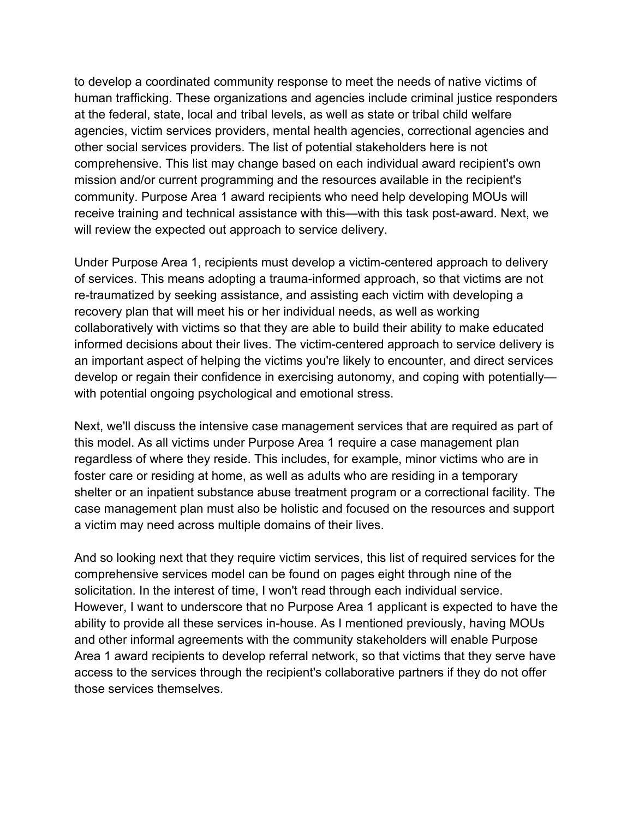other social services providers. The list of potential stakeholders here is not comprehensive. This list may change based on each individual award recipient's own community. Purpose Area 1 award recipients who need help developing MOUs will will review the expected out approach to service delivery. to develop a coordinated community response to meet the needs of native victims of human trafficking. These organizations and agencies include criminal justice responders at the federal, state, local and tribal levels, as well as state or tribal child welfare agencies, victim services providers, mental health agencies, correctional agencies and mission and/or current programming and the resources available in the recipient's receive training and technical assistance with this—with this task post-award. Next, we

 of services. This means adopting a trauma-informed approach, so that victims are not recovery plan that will meet his or her individual needs, as well as working informed decisions about their lives. The victim-centered approach to service delivery is an important aspect of helping the victims you're likely to encounter, and direct services with potential ongoing psychological and emotional stress. Under Purpose Area 1, recipients must develop a victim-centered approach to delivery. re-traumatized by seeking assistance, and assisting each victim with developing a collaboratively with victims so that they are able to build their ability to make educated develop or regain their confidence in exercising autonomy, and coping with potentially—

with potential ongoing psychological and emotional stress.<br>Next, we'll discuss the intensive case management services that are required as part of foster care or residing at home, as well as adults who are residing in a temporary a victim may need across multiple domains of their lives. this model. As all victims under Purpose Area 1 require a case management plan regardless of where they reside. This includes, for example, minor victims who are in shelter or an inpatient substance abuse treatment program or a correctional facility. The case management plan must also be holistic and focused on the resources and support

a victim may need across multiple domains of their lives.<br>And so looking next that they require victim services, this list of required services for the those services themselves. comprehensive services model can be found on pages eight through nine of the solicitation. In the interest of time, I won't read through each individual service. However, I want to underscore that no Purpose Area 1 applicant is expected to have the ability to provide all these services in-house. As I mentioned previously, having MOUs and other informal agreements with the community stakeholders will enable Purpose Area 1 award recipients to develop referral network, so that victims that they serve have access to the services through the recipient's collaborative partners if they do not offer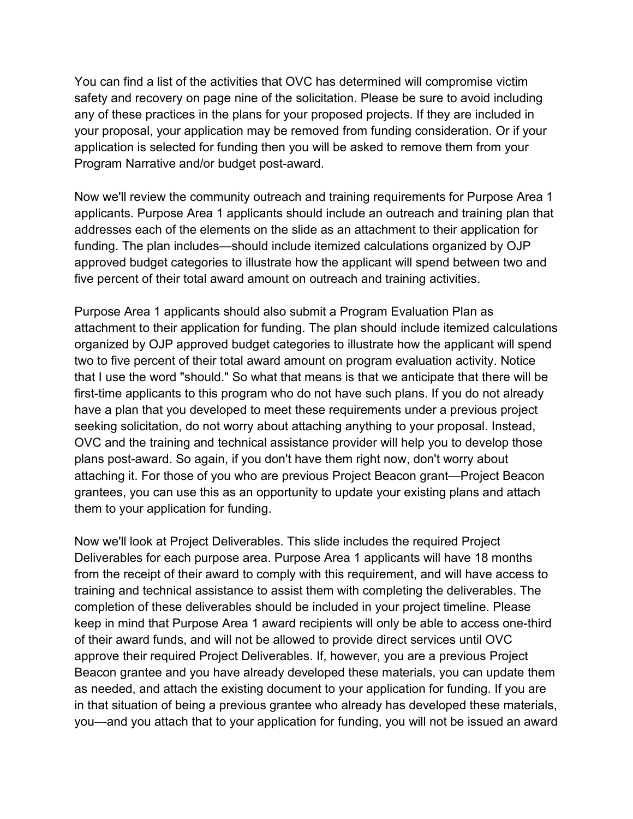your proposal, your application may be removed from funding consideration. Or if your Program Narrative and/or budget post-award. You can find a list of the activities that OVC has determined will compromise victim safety and recovery on page nine of the solicitation. Please be sure to avoid including any of these practices in the plans for your proposed projects. If they are included in application is selected for funding then you will be asked to remove them from your

 addresses each of the elements on the slide as an attachment to their application for five percent of their total award amount on outreach and training activities. Now we'll review the community outreach and training requirements for Purpose Area 1 applicants. Purpose Area 1 applicants should include an outreach and training plan that funding. The plan includes—should include itemized calculations organized by OJP approved budget categories to illustrate how the applicant will spend between two and

 first-time applicants to this program who do not have such plans. If you do not already have a plan that you developed to meet these requirements under a previous project plans post-award. So again, if you don't have them right now, don't worry about attaching it. For those of you who are previous Project Beacon grant—Project Beacon them to your application for funding. Purpose Area 1 applicants should also submit a Program Evaluation Plan as attachment to their application for funding. The plan should include itemized calculations organized by OJP approved budget categories to illustrate how the applicant will spend two to five percent of their total award amount on program evaluation activity. Notice that I use the word "should." So what that means is that we anticipate that there will be seeking solicitation, do not worry about attaching anything to your proposal. Instead, OVC and the training and technical assistance provider will help you to develop those grantees, you can use this as an opportunity to update your existing plans and attach

 Beacon grantee and you have already developed these materials, you can update them Now we'll look at Project Deliverables. This slide includes the required Project Deliverables for each purpose area. Purpose Area 1 applicants will have 18 months from the receipt of their award to comply with this requirement, and will have access to training and technical assistance to assist them with completing the deliverables. The completion of these deliverables should be included in your project timeline. Please keep in mind that Purpose Area 1 award recipients will only be able to access one-third of their award funds, and will not be allowed to provide direct services until OVC approve their required Project Deliverables. If, however, you are a previous Project as needed, and attach the existing document to your application for funding. If you are in that situation of being a previous grantee who already has developed these materials, you—and you attach that to your application for funding, you will not be issued an award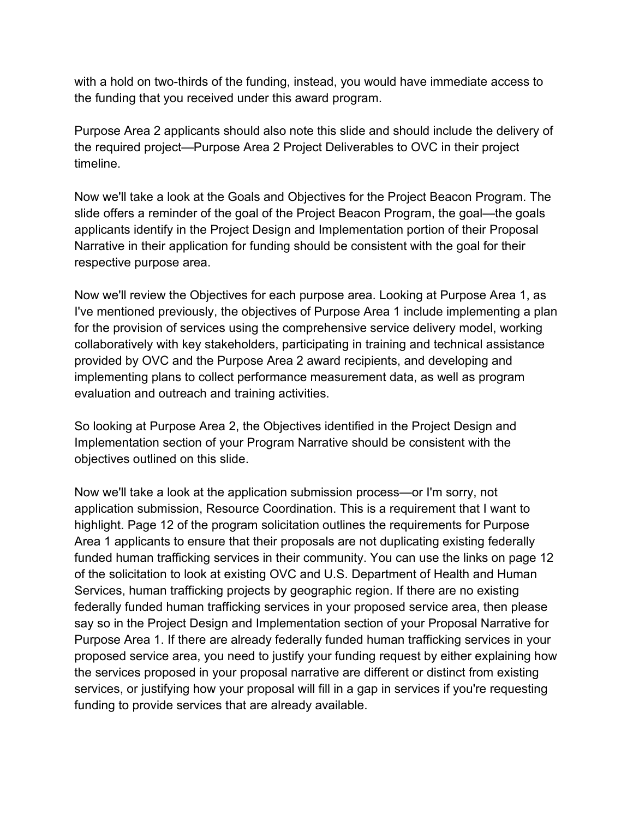the funding that you received under this award program. with a hold on two-thirds of the funding, instead, you would have immediate access to

timeline. Purpose Area 2 applicants should also note this slide and should include the delivery of the required project—Purpose Area 2 Project Deliverables to OVC in their project

 slide offers a reminder of the goal of the Project Beacon Program, the goal—the goals respective purpose area. Now we'll take a look at the Goals and Objectives for the Project Beacon Program. The applicants identify in the Project Design and Implementation portion of their Proposal Narrative in their application for funding should be consistent with the goal for their

evaluation and outreach and training activities. Now we'll review the Objectives for each purpose area. Looking at Purpose Area 1, as I've mentioned previously, the objectives of Purpose Area 1 include implementing a plan for the provision of services using the comprehensive service delivery model, working collaboratively with key stakeholders, participating in training and technical assistance provided by OVC and the Purpose Area 2 award recipients, and developing and implementing plans to collect performance measurement data, as well as program

objectives outlined on this slide. So looking at Purpose Area 2, the Objectives identified in the Project Design and Implementation section of your Program Narrative should be consistent with the

objectives outlined on this slide.<br>Now we'll take a look at the application submission process—or I'm sorry, not highlight. Page 12 of the program solicitation outlines the requirements for Purpose Purpose Area 1. If there are already federally funded human trafficking services in your funding to provide services that are already available. application submission, Resource Coordination. This is a requirement that I want to Area 1 applicants to ensure that their proposals are not duplicating existing federally funded human trafficking services in their community. You can use the links on page 12 of the solicitation to look at existing OVC and U.S. Department of Health and Human Services, human trafficking projects by geographic region. If there are no existing federally funded human trafficking services in your proposed service area, then please say so in the Project Design and Implementation section of your Proposal Narrative for proposed service area, you need to justify your funding request by either explaining how the services proposed in your proposal narrative are different or distinct from existing services, or justifying how your proposal will fill in a gap in services if you're requesting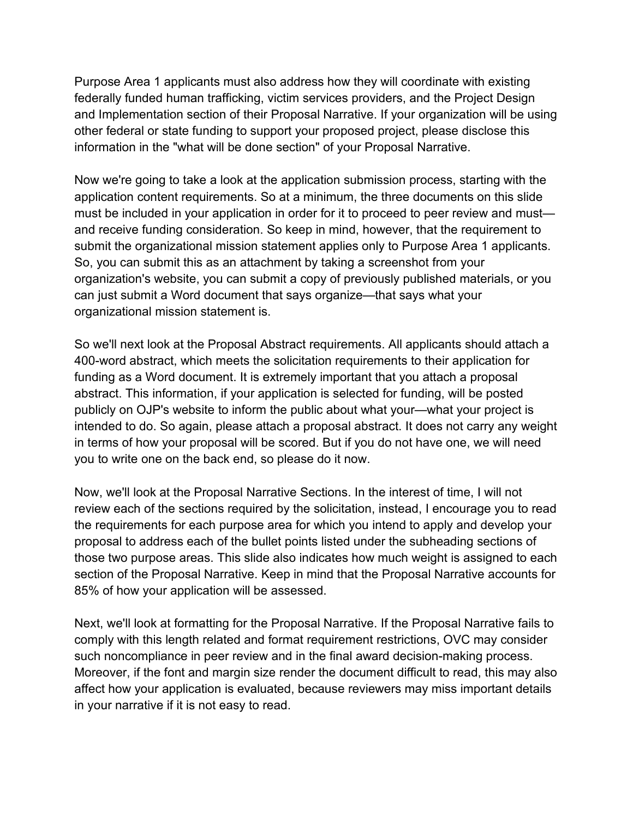information in the "what will be done section" of your Proposal Narrative. Purpose Area 1 applicants must also address how they will coordinate with existing federally funded human trafficking, victim services providers, and the Project Design and Implementation section of their Proposal Narrative. If your organization will be using other federal or state funding to support your proposed project, please disclose this

 submit the organizational mission statement applies only to Purpose Area 1 applicants. So, you can submit this as an attachment by taking a screenshot from your organization's website, you can submit a copy of previously published materials, or you organizational mission statement is. Now we're going to take a look at the application submission process, starting with the application content requirements. So at a minimum, the three documents on this slide must be included in your application in order for it to proceed to peer review and must and receive funding consideration. So keep in mind, however, that the requirement to can just submit a Word document that says organize—that says what your

 funding as a Word document. It is extremely important that you attach a proposal intended to do. So again, please attach a proposal abstract. It does not carry any weight you to write one on the back end, so please do it now. So we'll next look at the Proposal Abstract requirements. All applicants should attach a 400-word abstract, which meets the solicitation requirements to their application for abstract. This information, if your application is selected for funding, will be posted publicly on OJP's website to inform the public about what your—what your project is in terms of how your proposal will be scored. But if you do not have one, we will need

 proposal to address each of the bullet points listed under the subheading sections of those two purpose areas. This slide also indicates how much weight is assigned to each 85% of how your application will be assessed. Now, we'll look at the Proposal Narrative Sections. In the interest of time, I will not review each of the sections required by the solicitation, instead, I encourage you to read the requirements for each purpose area for which you intend to apply and develop your section of the Proposal Narrative. Keep in mind that the Proposal Narrative accounts for

 Next, we'll look at formatting for the Proposal Narrative. If the Proposal Narrative fails to such noncompliance in peer review and in the final award decision-making process. in your narrative if it is not easy to read. comply with this length related and format requirement restrictions, OVC may consider Moreover, if the font and margin size render the document difficult to read, this may also affect how your application is evaluated, because reviewers may miss important details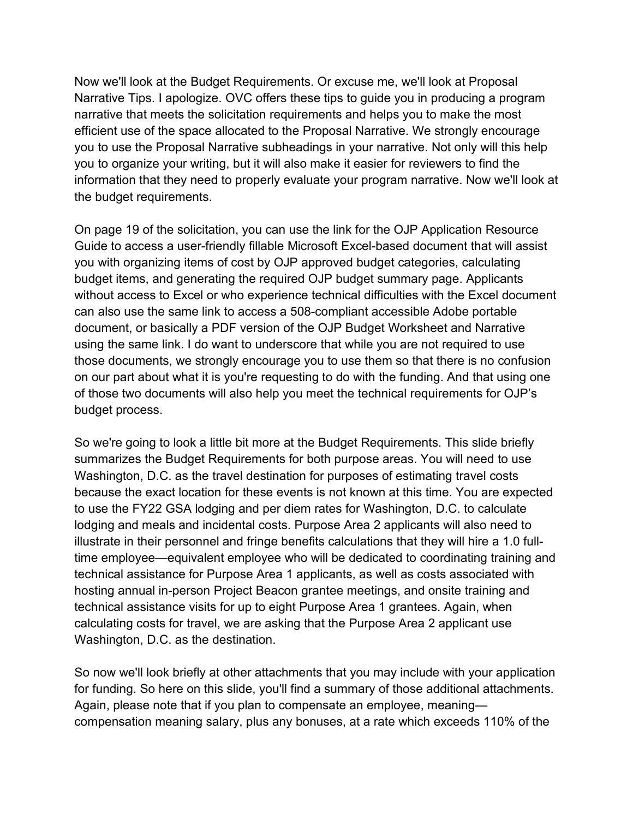narrative that meets the solicitation requirements and helps you to make the most information that they need to properly evaluate your program narrative. Now we'll look at the budget requirements. Now we'll look at the Budget Requirements. Or excuse me, we'll look at Proposal Narrative Tips. I apologize. OVC offers these tips to guide you in producing a program efficient use of the space allocated to the Proposal Narrative. We strongly encourage you to use the Proposal Narrative subheadings in your narrative. Not only will this help you to organize your writing, but it will also make it easier for reviewers to find the

 Guide to access a user-friendly fillable Microsoft Excel-based document that will assist you with organizing items of cost by OJP approved budget categories, calculating without access to Excel or who experience technical difficulties with the Excel document document, or basically a PDF version of the OJP Budget Worksheet and Narrative using the same link. I do want to underscore that while you are not required to use budget process. On page 19 of the solicitation, you can use the link for the OJP Application Resource budget items, and generating the required OJP budget summary page. Applicants can also use the same link to access a 508-compliant accessible Adobe portable those documents, we strongly encourage you to use them so that there is no confusion on our part about what it is you're requesting to do with the funding. And that using one of those two documents will also help you meet the technical requirements for OJP's

 Washington, D.C. as the travel destination for purposes of estimating travel costs Washington, D.C. as the destination. So we're going to look a little bit more at the Budget Requirements. This slide briefly summarizes the Budget Requirements for both purpose areas. You will need to use because the exact location for these events is not known at this time. You are expected to use the FY22 GSA lodging and per diem rates for Washington, D.C. to calculate lodging and meals and incidental costs. Purpose Area 2 applicants will also need to illustrate in their personnel and fringe benefits calculations that they will hire a 1.0 fulltime employee—equivalent employee who will be dedicated to coordinating training and technical assistance for Purpose Area 1 applicants, as well as costs associated with hosting annual in-person Project Beacon grantee meetings, and onsite training and technical assistance visits for up to eight Purpose Area 1 grantees. Again, when calculating costs for travel, we are asking that the Purpose Area 2 applicant use

So now we'll look briefly at other attachments that you may include with your application for funding. So here on this slide, you'll find a summary of those additional attachments. Again, please note that if you plan to compensate an employee, meaning compensation meaning salary, plus any bonuses, at a rate which exceeds 110% of the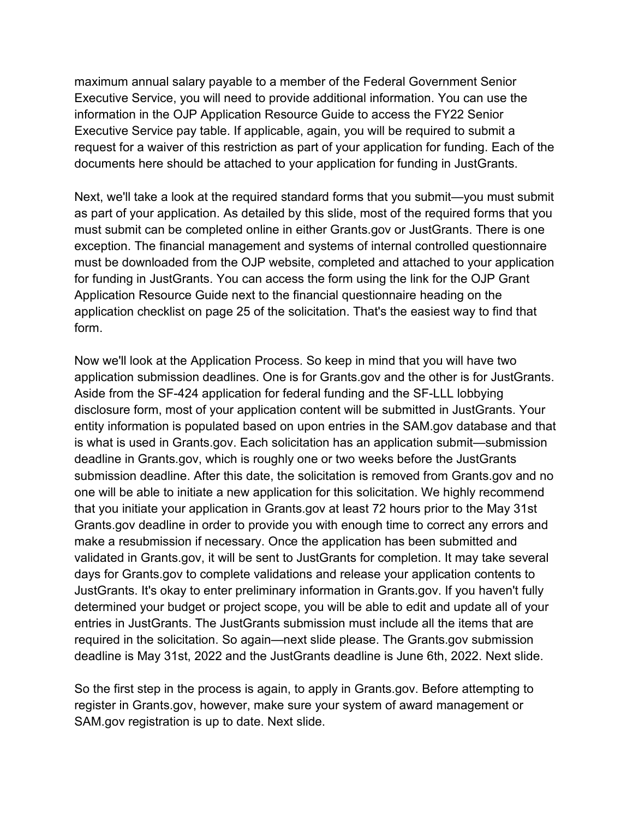request for a waiver of this restriction as part of your application for funding. Each of the documents here should be attached to your application for funding in JustGrants. maximum annual salary payable to a member of the Federal Government Senior Executive Service, you will need to provide additional information. You can use the information in the OJP Application Resource Guide to access the FY22 Senior Executive Service pay table. If applicable, again, you will be required to submit a

documents here should be attached to your application for funding in JustGrants.<br>Next, we'll take a look at the required standard forms that you submit—you must submit as part of your application. As detailed by this slide, most of the required forms that you form must submit can be completed online in either [Grants.gov](https://Grants.gov) or JustGrants. There is one exception. The financial management and systems of internal controlled questionnaire must be downloaded from the OJP website, completed and attached to your application for funding in JustGrants. You can access the form using the link for the OJP Grant Application Resource Guide next to the financial questionnaire heading on the application checklist on page 25 of the solicitation. That's the easiest way to find that

 disclosure form, most of your application content will be submitted in JustGrants. Your deadline in [Grants.gov](https://Grants.gov), which is roughly one or two weeks before the JustGrants JustGrants. It's okay to enter preliminary information in [Grants.gov.](https://Grants.gov) If you haven't fully deadline is May 31st, 2022 and the JustGrants deadline is June 6th, 2022. Next slide. Now we'll look at the Application Process. So keep in mind that you will have two application submission deadlines. One is for [Grants.gov](https://Grants.gov) and the other is for JustGrants. Aside from the SF-424 application for federal funding and the SF-LLL lobbying entity information is populated based on upon entries in the SAM.gov database and that is what is used in [Grants.gov.](https://Grants.gov) Each solicitation has an application submit—submission submission deadline. After this date, the solicitation is removed from [Grants.gov](https://Grants.gov) and no one will be able to initiate a new application for this solicitation. We highly recommend that you initiate your application in [Grants.gov](https://Grants.gov) at least 72 hours prior to the May 31st [Grants.gov](https://Grants.gov) deadline in order to provide you with enough time to correct any errors and make a resubmission if necessary. Once the application has been submitted and validated in [Grants.gov,](https://Grants.gov) it will be sent to JustGrants for completion. It may take several days for [Grants.gov](https://Grants.gov) to complete validations and release your application contents to determined your budget or project scope, you will be able to edit and update all of your entries in JustGrants. The JustGrants submission must include all the items that are required in the solicitation. So again—next slide please. The [Grants.gov](https://Grants.gov) submission

 register in [Grants.gov,](https://Grants.gov) however, make sure your system of award management or SAM.gov registration is up to date. Next slide. So the first step in the process is again, to apply in [Grants.gov.](https://Grants.gov) Before attempting to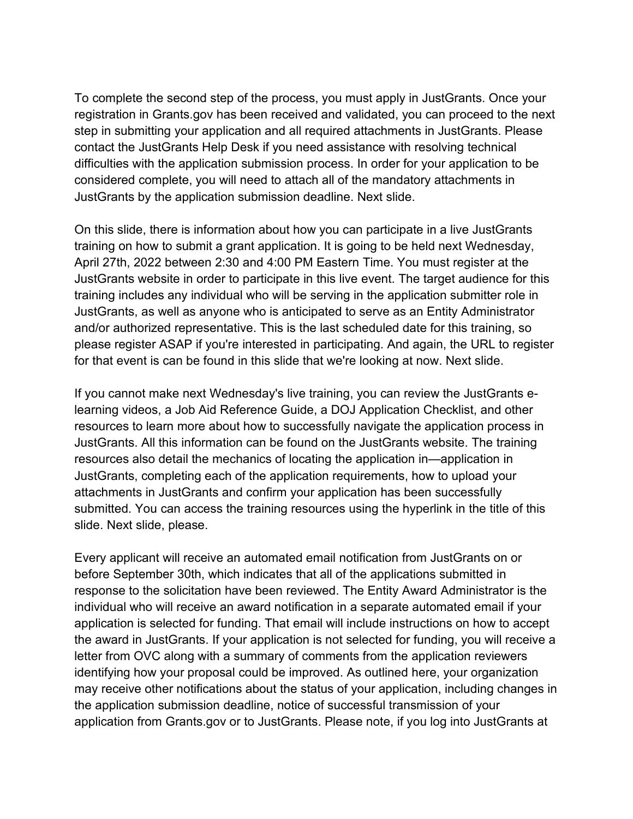To complete the second step of the process, you must apply in JustGrants. Once your difficulties with the application submission process. In order for your application to be JustGrants by the application submission deadline. Next slide. registration in [Grants.gov](https://Grants.gov) has been received and validated, you can proceed to the next step in submitting your application and all required attachments in JustGrants. Please contact the JustGrants Help Desk if you need assistance with resolving technical considered complete, you will need to attach all of the mandatory attachments in

 training on how to submit a grant application. It is going to be held next Wednesday, training includes any individual who will be serving in the application submitter role in for that event is can be found in this slide that we're looking at now. Next slide. On this slide, there is information about how you can participate in a live JustGrants April 27th, 2022 between 2:30 and 4:00 PM Eastern Time. You must register at the JustGrants website in order to participate in this live event. The target audience for this JustGrants, as well as anyone who is anticipated to serve as an Entity Administrator and/or authorized representative. This is the last scheduled date for this training, so please register ASAP if you're interested in participating. And again, the URL to register

 JustGrants. All this information can be found on the JustGrants website. The training submitted. You can access the training resources using the hyperlink in the title of this slide. Next slide, please. If you cannot make next Wednesday's live training, you can review the JustGrants elearning videos, a Job Aid Reference Guide, a DOJ Application Checklist, and other resources to learn more about how to successfully navigate the application process in resources also detail the mechanics of locating the application in—application in JustGrants, completing each of the application requirements, how to upload your attachments in JustGrants and confirm your application has been successfully

slide. Next slide, please.<br>Every applicant will receive an automated email notification from JustGrants on or before September 30th, which indicates that all of the applications submitted in response to the solicitation have been reviewed. The Entity Award Administrator is the individual who will receive an award notification in a separate automated email if your application is selected for funding. That email will include instructions on how to accept the award in JustGrants. If your application is not selected for funding, you will receive a letter from OVC along with a summary of comments from the application reviewers identifying how your proposal could be improved. As outlined here, your organization may receive other notifications about the status of your application, including changes in the application submission deadline, notice of successful transmission of your application from [Grants.gov](https://Grants.gov) or to JustGrants. Please note, if you log into JustGrants at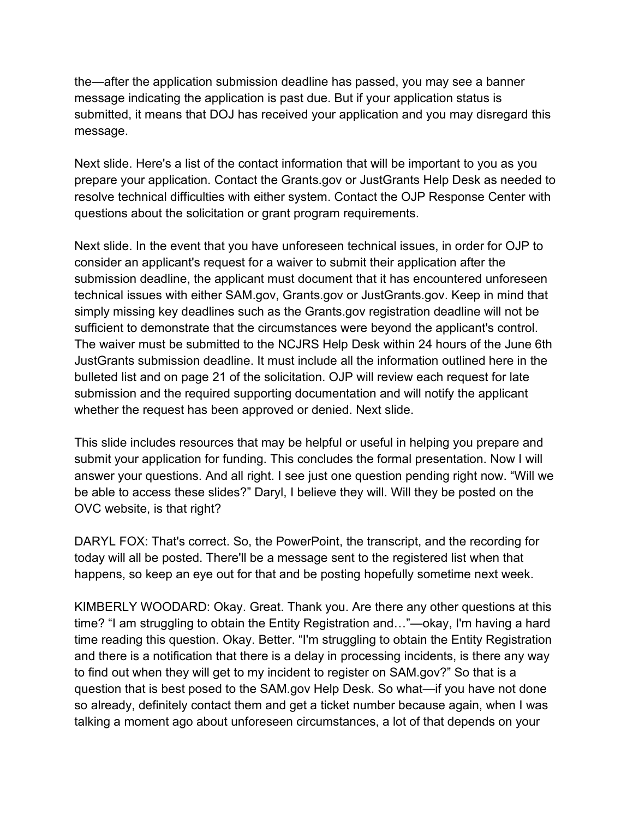message indicating the application is past due. But if your application status is message. the—after the application submission deadline has passed, you may see a banner submitted, it means that DOJ has received your application and you may disregard this

questions about the solicitation or grant program requirements. Next slide. Here's a list of the contact information that will be important to you as you prepare your application. Contact the [Grants.gov](https://Grants.gov) or JustGrants Help Desk as needed to resolve technical difficulties with either system. Contact the OJP Response Center with

 submission deadline, the applicant must document that it has encountered unforeseen whether the request has been approved or denied. Next slide. Next slide. In the event that you have unforeseen technical issues, in order for OJP to consider an applicant's request for a waiver to submit their application after the technical issues with either SAM.gov, [Grants.gov](https://Grants.gov) or [JustGrants.gov](https://JustGrants.gov). Keep in mind that simply missing key deadlines such as the [Grants.gov](https://Grants.gov) registration deadline will not be sufficient to demonstrate that the circumstances were beyond the applicant's control. The waiver must be submitted to the NCJRS Help Desk within 24 hours of the June 6th JustGrants submission deadline. It must include all the information outlined here in the bulleted list and on page 21 of the solicitation. OJP will review each request for late submission and the required supporting documentation and will notify the applicant

This slide includes resources that may be helpful or useful in helping you prepare and submit your application for funding. This concludes the formal presentation. Now I will answer your questions. And all right. I see just one question pending right now. "Will we be able to access these slides?" Daryl, I believe they will. Will they be posted on the OVC website, is that right?

DARYL FOX: That's correct. So, the PowerPoint, the transcript, and the recording for today will all be posted. There'll be a message sent to the registered list when that happens, so keep an eye out for that and be posting hopefully sometime next week.

 KIMBERLY WOODARD: Okay. Great. Thank you. Are there any other questions at this time reading this question. Okay. Better. "I'm struggling to obtain the Entity Registration talking a moment ago about unforeseen circumstances, a lot of that depends on your time? "I am struggling to obtain the Entity Registration and…"—okay, I'm having a hard and there is a notification that there is a delay in processing incidents, is there any way to find out when they will get to my incident to register on SAM.gov?" So that is a question that is best posed to the SAM.gov Help Desk. So what—if you have not done so already, definitely contact them and get a ticket number because again, when I was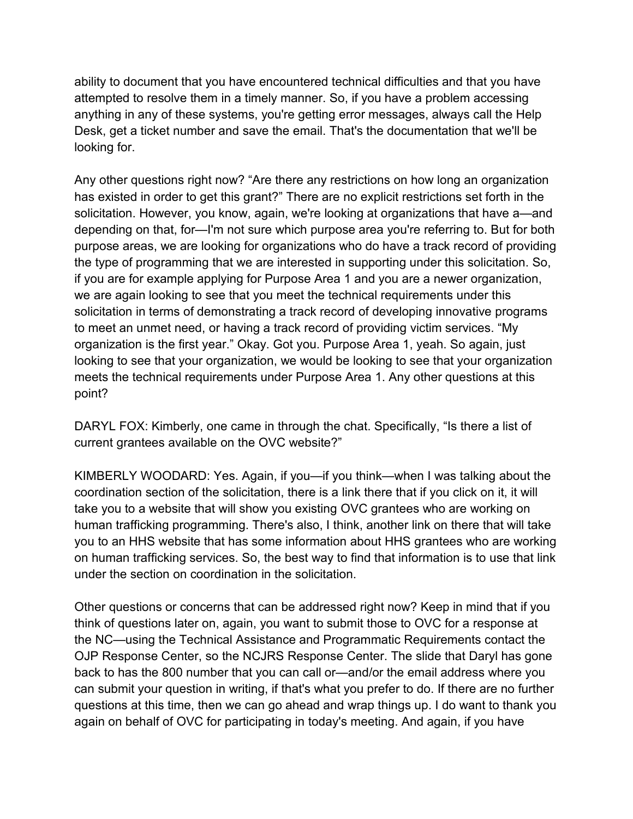Desk, get a ticket number and save the email. That's the documentation that we'll be looking for. ability to document that you have encountered technical difficulties and that you have attempted to resolve them in a timely manner. So, if you have a problem accessing anything in any of these systems, you're getting error messages, always call the Help

looking for.<br>Any other questions right now? "Are there any restrictions on how long an organization has existed in order to get this grant?" There are no explicit restrictions set forth in the if you are for example applying for Purpose Area 1 and you are a newer organization, organization is the first year." Okay. Got you. Purpose Area 1, yeah. So again, just solicitation. However, you know, again, we're looking at organizations that have a—and depending on that, for—I'm not sure which purpose area you're referring to. But for both purpose areas, we are looking for organizations who do have a track record of providing the type of programming that we are interested in supporting under this solicitation. So, we are again looking to see that you meet the technical requirements under this solicitation in terms of demonstrating a track record of developing innovative programs to meet an unmet need, or having a track record of providing victim services. "My looking to see that your organization, we would be looking to see that your organization meets the technical requirements under Purpose Area 1. Any other questions at this point?

DARYL FOX: Kimberly, one came in through the chat. Specifically, "Is there a list of current grantees available on the OVC website?"

under the section on coordination in the solicitation. KIMBERLY WOODARD: Yes. Again, if you—if you think—when I was talking about the coordination section of the solicitation, there is a link there that if you click on it, it will take you to a website that will show you existing OVC grantees who are working on human trafficking programming. There's also, I think, another link on there that will take you to an HHS website that has some information about HHS grantees who are working on human trafficking services. So, the best way to find that information is to use that link

Other questions or concerns that can be addressed right now? Keep in mind that if you think of questions later on, again, you want to submit those to OVC for a response at the NC—using the Technical Assistance and Programmatic Requirements contact the OJP Response Center, so the NCJRS Response Center. The slide that Daryl has gone back to has the 800 number that you can call or—and/or the email address where you can submit your question in writing, if that's what you prefer to do. If there are no further questions at this time, then we can go ahead and wrap things up. I do want to thank you again on behalf of OVC for participating in today's meeting. And again, if you have